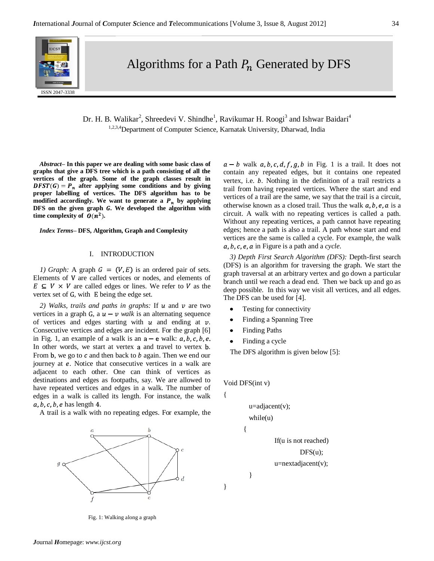

Algorithms for a Path  $P_n$  Generated by DFS

Dr. H. B. Walikar<sup>2</sup>, Shreedevi V. Shindhe<sup>1</sup>, Ravikumar H. Roogi<sup>3</sup> and Ishwar Baidari<sup>4</sup> 1,2,3,4 Department of Computer Science, Karnatak University, Dharwad, India

*Abstract–* **In this paper we are dealing with some basic class of graphs that give a DFS tree which is a path consisting of all the vertices of the graph. Some of the graph classes result in**   $DFST(G) = P_n$  after applying some conditions and by giving **proper labelling of vertices. The DFS algorithm has to be**  modified accordingly. We want to generate a  $P_n$  by applying DFS on the given graph G. We developed the algorithm with **time** complexity of  $O(n^2)$ .

*Index Terms–* **DFS, Algorithm, Graph and Complexity**

### I. INTRODUCTION

*1) Graph*: A graph  $G = (V, E)$  is an ordered pair of sets. Elements of V are called vertices or nodes, and elements of  $E \subseteq V \times V$  are called edges or lines. We refer to V as the vertex set of G, with E being the edge set.

*2) Walks, trails and paths in graphs:* If u and v are two vertices in a graph G, a  $u - v$  walk is an alternating sequence of vertices and edges starting with  $u$  and ending at  $v$ . Consecutive vertices and edges are incident. For the graph [6] in Fig. 1, an example of a walk is an  $a - e$  walk:  $a, b, c, b, e$ . In other words, we start at vertex a and travel to vertex b. From b, we go to  $c$  and then back to  $b$  again. Then we end our journey at e. Notice that consecutive vertices in a walk are adjacent to each other. One can think of vertices as destinations and edges as footpaths, say. We are allowed to have repeated vertices and edges in a walk. The number of edges in a walk is called its length. For instance, the walk  $a, b, c, b, e$  has length 4.

A trail is a walk with no repeating edges. For example, the



Fig. 1: Walking along a graph

 $a - b$  walk  $a, b, c, d, f, g, b$  in Fig. 1 is a trail. It does not contain any repeated edges, but it contains one repeated vertex, i.e.  $b$ . Nothing in the definition of a trail restricts a trail from having repeated vertices. Where the start and end vertices of a trail are the same, we say that the trail is a circuit, otherwise known as a closed trail. Thus the walk  $a, b, e, a$  is a circuit. A walk with no repeating vertices is called a path. Without any repeating vertices, a path cannot have repeating edges; hence a path is also a trail. A path whose start and end vertices are the same is called a cycle. For example, the walk  $a, b, c, e, a$  in Figure is a path and a *cycle*.

*3) Depth First Search Algorithm (DFS):* Depth-first search (DFS) is an [algorithm](http://en.wikipedia.org/wiki/Algorithm) for traversing the graph. We start the graph traversal at an arbitrary vertex and go down a particular branch until we reach a dead end. Then we back up and go as deep possible. In this way we visit all vertices, and all edges. The DFS can be used for [4].

- Testing for connectivity
- Finding a Spanning Tree
- Finding Paths
- Finding a cycle

The DFS algorithm is given below [5]:

Void DFS(int v)

{

}

{

}

```
u=adjacent(v);while(u)
```
If(u is not reached)

 $DFS(u);$ 

u=nextadjacent(v);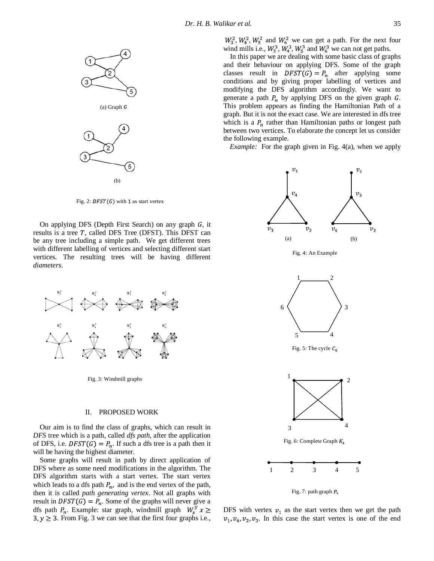

Fig. 2:  $DFST(G)$  with 1 as start vertex

On applying DFS (Depth First Search) on any graph  $G$ , it results is a tree  $T$ , called DFS Tree (DFST). This DFST can be any tree including a simple path. We get different trees with different labelling of vertices and selecting different start vertices. The resulting trees will be having different *diameters*.



Fig. 3: Windmill graphs

## II. PROPOSED WORK

Our aim is to find the class of graphs, which can result in *DFS* tree which is a path, called *dfs path,* after the application of DFS, i.e.  $DFST(G) = P_n$ . If such a dfs tree is a path then it will be having the highest diameter.

Some graphs will result in path by direct application of DFS where as some need modifications in the algorithm. The DFS algorithm starts with a start vertex. The start vertex which leads to a dfs path  $P_n$ , and is the end vertex of the path, then it is called *path generating vertex*. Not all graphs with result in  $DFST(G) = P_n$ . Some of the graphs will never give a dfs path  $P_n$ . Example: star graph, windmill graph  $W_x^y x \geq$  $3, y \geq 3$ . From Fig. 3 we can see that the first four graphs i.e.,

In this paper we are dealing with some basic class of graphs and their behaviour on applying DFS. Some of the graph classes result in  $DFST(G) = P_n$  after applying some conditions and by giving proper labelling of vertices and modifying the DFS algorithm accordingly. We want to generate a path  $P_n$  by applying DFS on the given graph  $G$ . This problem appears as finding the Hamiltonian Path of a graph. But it is not the exact case. We are interested in dfs tree which is a  $P_n$  rather than Hamiltonian paths or longest path between two vertices. To elaborate the concept let us consider the following example.

*Example:* For the graph given in Fig. 4(a), when we apply





DFS with vertex  $v_1$  as the start vertex then we get the path  $v_1$ ,  $v_4$ ,  $v_2$ ,  $v_3$ . In this case the start vertex is one of the end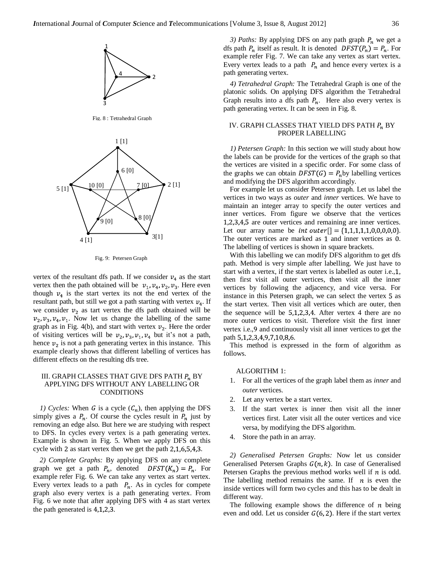

Fig. 8 : Tetrahedral Graph



Fig. 9: Petersen Graph

vertex of the resultant dfs path. If we consider  $v<sub>4</sub>$  as the start vertex then the path obtained will be  $v_1$ ,  $v_4$ ,  $v_2$ ,  $v_3$ . Here even though  $v_4$  is the start vertex its not the end vertex of the resultant path, but still we got a path starting with vertex  $v_4$ . If we consider  $v_2$  as tart vertex the dfs path obtained will be  $v_2, v_3, v_4, v_1$ . Now let us change the labelling of the same graph as in Fig. 4(b), and start with vertex  $v_2$ . Here the order of visiting vertices will be  $v_2$ ,  $v_3$ ,  $v_1$ ,  $v_4$  but it's not a path, hence  $v_2$  is not a path generating vertex in this instance. This example clearly shows that different labelling of vertices has different effects on the resulting dfs tree.

## III. GRAPH CLASSES THAT GIVE DFS PATH  $P_n$  BY APPLYING DFS WITHOUT ANY LABELLING OR **CONDITIONS**

*1) Cycles:* When *G* is a cycle  $(C_n)$ , then applying the DFS simply gives a  $P_n$ . Of course the cycles result in  $P_n$  just by removing an edge also. But here we are studying with respect to DFS. In cycles every vertex is a path generating vertex. Example is shown in Fig. 5. When we apply DFS on this cycle with 2 as start vertex then we get the path  $2,1,6,5,4,3$ .

*2) Complete Graphs:* By applying DFS on any complete graph we get a path  $P_n$ , denoted  $DFST(K_n) = P_n$ . For example refer Fig. 6. We can take any vertex as start vertex. Every vertex leads to a path  $P_n$ . As in cycles for compete graph also every vertex is a path generating vertex. From Fig. 6 we note that after applying DFS with 4 as start vertex the path generated is  $4,1,2,3$ .

*3) Paths:* By applying DFS on any path graph  $P_n$  we get a dfs path  $P_n$  itself as result. It is denoted  $DFST(P_n) = P_n$ . For example refer Fig. 7. We can take any vertex as start vertex. Every vertex leads to a path  $P_n$  and hence every vertex is a path generating vertex.

*4) Tetrahedral Graph:* The Tetrahedral Graph is one of the platonic solids. On applying DFS algorithm the Tetrahedral Graph results into a dfs path  $P_n$ . Here also every vertex is path generating vertex. It can be seen in Fig. 8.

## IV. GRAPH CLASSES THAT YIELD DFS PATH  $P_n$  BY PROPER LABELLING

*1) Petersen Graph:* In this section we will study about how the labels can be provide for the vertices of the graph so that the vertices are visited in a specific order. For some class of the graphs we can obtain  $DFST(G) = P_n$  by labelling vertices and modifying the DFS algorithm accordingly.

For example let us consider Petersen graph. Let us label the vertices in two ways as *outer* and *inner* vertices. We have to maintain an integer array to specify the outer vertices and inner vertices. From figure we observe that the vertices  $1,2,3,4,5$  are outer vertices and remaining are inner vertices. Let our array name be *int outer*  $[]=\{1,1,1,1,1,0,0,0,0,0\}.$ The outer vertices are marked as 1 and inner vertices as 0. The labelling of vertices is shown in square brackets.

With this labelling we can modify DFS algorithm to get dfs path. Method is very simple after labelling. We just have to start with a vertex, if the start vertex is labelled as outer i.e., $1$ , then first visit all outer vertices, then visit all the inner vertices by following the adjacency, and vice versa. For instance in this Petersen graph, we can select the vertex  $5$  as the start vertex. Then visit all vertices which are outer, then the sequence will be  $5,1,2,3,4$ . After vertex 4 there are no more outer vertices to visit. Therefore visit the first inner vertex i.e., 9 and continuously visit all inner vertices to get the path 5,1,2,3,4,9,7,10,8,6.

This method is expressed in the form of algorithm as follows.

#### ALGORITHM 1:

- 1. For all the vertices of the graph label them as *inner* and *outer* vertices.
- 2. Let any vertex be a start vertex.
- 3. If the start vertex is inner then visit all the inner vertices first. Later visit all the outer vertices and vice versa, by modifying the DFS algorithm.
- 4. Store the path in an array.

*2) Generalised Petersen Graphs:* Now let us consider Generalised Petersen Graphs  $G(n, k)$ . In case of Generalised Petersen Graphs the previous method works well if  $n$  is odd. The labelling method remains the same. If  $n$  is even the inside vertices will form two cycles and this has to be dealt in different way.

The following example shows the difference of  $n$  being even and odd. Let us consider  $G(6, 2)$ . Here if the start vertex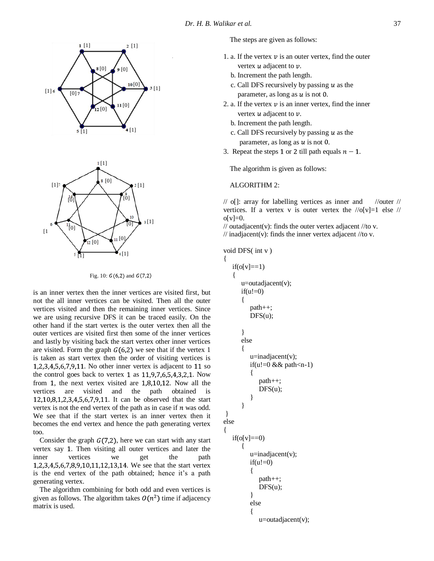

Fig. 10:  $G(6,2)$  and  $G(7,2)$ 

is an inner vertex then the inner vertices are visited first, but not the all inner vertices can be visited. Then all the outer vertices visited and then the remaining inner vertices. Since we are using recursive DFS it can be traced easily. On the other hand if the start vertex is the outer vertex then all the outer vertices are visited first then some of the inner vertices and lastly by visiting back the start vertex other inner vertices are visited. Form the graph  $G(6,2)$  we see that if the vertex 1 is taken as start vertex then the order of visiting vertices is  $1,2,3,4,5,6,7,9,11$ . No other inner vertex is adjacent to 11 so the control goes back to vertex 1 as  $11, 9, 7, 6, 5, 4, 3, 2, 1$ . Now from 1, the next vertex visited are  $1,8,10,12$ . Now all the vertices are visited and the path obtained is  $12,10,8,1,2,3,4,5,6,7,9,11$ . It can be observed that the start vertex is not the end vertex of the path as in case if  $n$  was odd. We see that if the start vertex is an inner vertex then it becomes the end vertex and hence the path generating vertex too.

Consider the graph  $G(7,2)$ , here we can start with any start vertex say 1. Then visiting all outer vertices and later the inner vertices we get the path 1,2,3,4,5,6,7,8,9,10,11,12,13,14. We see that the start vertex is the end vertex of the path obtained; hence it's a path generating vertex.

The algorithm combining for both odd and even vertices is given as follows. The algorithm takes  $O(n^2)$  time if adjacency matrix is used.

The steps are given as follows:

- 1. a. If the vertex  $\nu$  is an outer vertex, find the outer vertex  $u$  adjacent to  $v$ .
	- b. Increment the path length.
	- c. Call DFS recursively by passing  $u$  as the parameter, as long as  $u$  is not 0.
- 2. a. If the vertex  $\nu$  is an inner vertex, find the inner vertex  $u$  adjacent to  $v$ .
	- b. Increment the path length.
	- c. Call DFS recursively by passing  $u$  as the parameter, as long as  $u$  is not 0.
- 3. Repeat the steps 1 or 2 till path equals  $n 1$ .

The algorithm is given as follows:

### ALGORITHM 2:

 $\frac{1}{\sqrt{2}}$  o[]: array for labelling vertices as inner and  $\frac{1}{\sqrt{2}}$  //outer // vertices. If a vertex v is outer vertex the  $\sqrt{\log |y|} = 1$  else  $\sqrt{\frac{y}{\log |y|}}$  $o[v]=0.$ 

// outadjacent(v): finds the outer vertex adjacent //to v. // inadjacent(v): finds the inner vertex adjacent //to v.

void DFS( int v )

```
{
     if(o[v == 1) {
           u=outadjacent(v);
          if(u!=0)\left\{\begin{array}{ccc} \end{array}\right\} path++;
               DFS(u); }
           else
           {
               u=inadjacent(v);
               if(u!=0 && path<n-1)
\left\{ \begin{array}{c} \end{array} \right. path++;
                     DFS(u); }
           }
 }
else
{
     if(o[v]=0)\left\{\begin{array}{ccc} \end{array}\right\}u=inadjacent(v);
               if(u!=0)\left\{ \begin{array}{c} \end{array} \right. path++;
                      DFS(u);
                }
                else
\left\{ \begin{array}{c} \end{array} \right. u=outadjacent(v);
```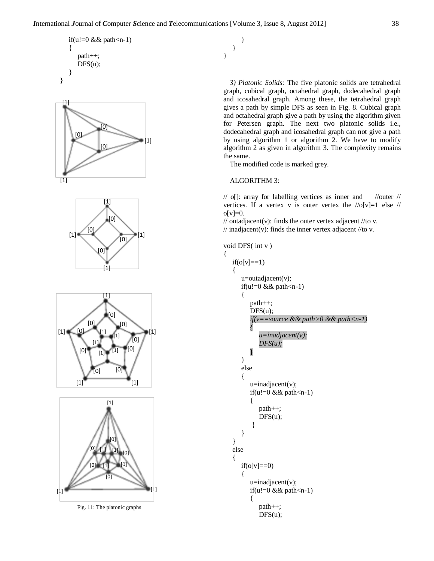









Fig. 11: The platonic graphs

}

}

}

*3) Platonic Solids:* The five platonic solids are tetrahedral graph, cubical graph, octahedral graph, dodecahedral graph and icosahedral graph. Among these, the tetrahedral graph gives a path by simple DFS as seen in Fig. 8. Cubical graph and octahedral graph give a path by using the algorithm given for Petersen graph. The next two platonic solids i.e., dodecahedral graph and icosahedral graph can not give a path by using algorithm 1 or algorithm 2. We have to modify algorithm 2 as given in algorithm 3. The complexity remains the same.

The modified code is marked grey.

# ALGORITHM 3:

 $//$  o[]: array for labelling vertices as inner and  $//$  outer  $//$ vertices. If a vertex v is outer vertex the  $/|\sigma|$  | else  $/|\sigma|$  $o[v]=0.$ 

// outadjacent(v): finds the outer vertex adjacent //to v.  $\frac{1}{10}$  inadjacent(v): finds the inner vertex adjacent  $\frac{1}{10}$  v.

$$
void DFS(int v)
$$

{

$$
if(o[v] == 1) {\n u=outadjacent(v);\n if(u != 0 && path < n-1)\n } \n path++; \n DFS(u);\n if(v == source && path > 0 && path < n-1)\n } \n u=inadjacent(v); \n DFS(u);\n bFS(u);\n } else\n {\n u=inadjacent(v);\n if(u != 0 && path < n-1)\n } \n path++; \n DFS(u);\n } else\n {\n if(o[v] == 0)\n {\n u=inadjacent(v);\n if(u != 0 && path < n-1)\n } \n path++;
$$

 $DFS(u);$